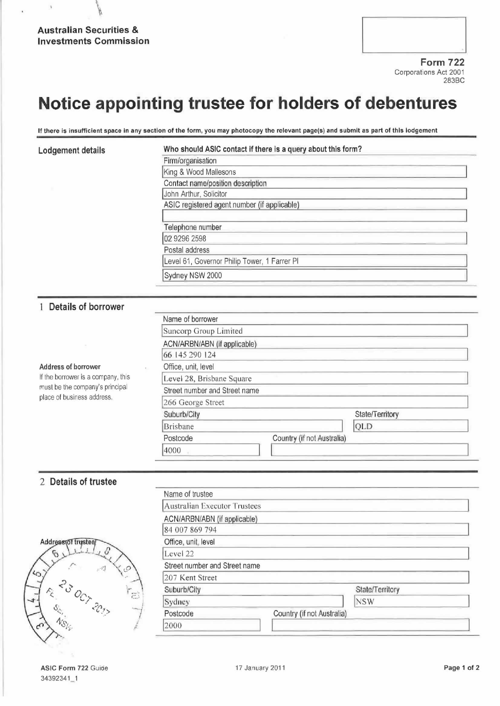$\overline{1}$ 

| <b>Form 722</b> |  |
|-----------------|--|
|                 |  |
|                 |  |
|                 |  |

Corporations Act 2001 283BC

# Notice appointing trustee for holders of debentures

If there is insufficient space in any section of the form, you may photocopy the relevant page(s) and submit as part of this lodgement

#### Lodgement details

#### Who should ASIC contact if there is a query about this form?

| Firm/organisation                            |
|----------------------------------------------|
| King & Wood Mallesons                        |
| Contact name/position description            |
| John Arthur, Solicitor                       |
| ASIC registered agent number (if applicable) |
| Telephone number                             |
| 02 9296 2598                                 |
| Postal address                               |
| Level 61, Governor Philip Tower, 1 Farrer PI |
| Sydney NSW 2000                              |

### 1 Details of borrower

| <b>DETAID OF DUITOME!</b>                                                                                                  |                               |                            |                 |  |
|----------------------------------------------------------------------------------------------------------------------------|-------------------------------|----------------------------|-----------------|--|
| Address of borrower<br>If the borrower is a company, this<br>must be the company's principal<br>place of business address. | Name of borrower              |                            |                 |  |
|                                                                                                                            | Suncorp Group Limited         |                            |                 |  |
|                                                                                                                            | ACN/ARBN/ABN (if applicable)  |                            |                 |  |
|                                                                                                                            | 66 145 290 124                |                            |                 |  |
|                                                                                                                            | Office, unit, level           |                            |                 |  |
|                                                                                                                            | Level 28, Brisbane Square     |                            |                 |  |
|                                                                                                                            | Street number and Street name |                            |                 |  |
|                                                                                                                            | 266 George Street             |                            |                 |  |
|                                                                                                                            | Suburb/City                   |                            | State/Territory |  |
|                                                                                                                            | Brisbane                      |                            | QLD             |  |
|                                                                                                                            | Postcode                      | Country (if not Australia) |                 |  |
|                                                                                                                            | 4000                          |                            |                 |  |
|                                                                                                                            |                               |                            |                 |  |

### 2 Details of trustee

|         | Address of trystee/          |           |  |
|---------|------------------------------|-----------|--|
| $\zeta$ |                              | 23 OCT 20 |  |
|         | $\mathcal{C}_{S_{\ell_{p}}}$ |           |  |
|         |                              |           |  |

| Name of trustee               |                            |                 |  |
|-------------------------------|----------------------------|-----------------|--|
| Australian Executor Trustees  |                            |                 |  |
| ACN/ARBN/ABN (if applicable)  |                            |                 |  |
| 84 007 869 794                |                            |                 |  |
| Office, unit, level           |                            |                 |  |
| Level 22                      |                            |                 |  |
| Street number and Street name |                            |                 |  |
| 207 Kent Street               |                            |                 |  |
| Suburb/City                   |                            | State/Territory |  |
| Sydney                        |                            | <b>NSW</b>      |  |
| Postcode                      | Country (if not Australia) |                 |  |
| 2000                          |                            |                 |  |